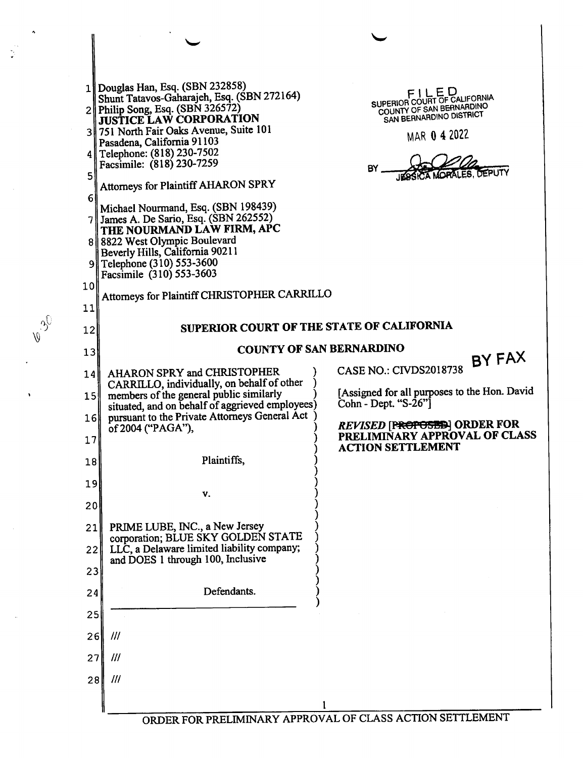|                 | 1    Douglas Han, Esq. (SBN 232858)                                                   |                                                           |
|-----------------|---------------------------------------------------------------------------------------|-----------------------------------------------------------|
|                 | Shunt Tatavos-Gaharajeh, Esq. (SBN 272164)                                            | FILED<br>SUPERIOR COURT OF CALIFORNIA                     |
|                 | $2$ Philip Song, Esq. (SBN 326572)<br><b>JUSTICE LAW CORPORATION</b>                  | COUNTY OF SAN BERNARDINO<br>SAN BERNARDINO DISTRICT       |
|                 | 3 751 North Fair Oaks Avenue, Suite 101                                               | MAR 0 4 2022                                              |
|                 | Pasadena, California 91103<br>4 Telephone: (818) 230-7502                             |                                                           |
|                 | Facsimile: (818) 230-7259                                                             | BY<br><b>DEPUTY</b>                                       |
| 5               | Attorneys for Plaintiff AHARON SPRY                                                   |                                                           |
| 6               | Michael Nourmand, Esq. (SBN 198439)                                                   |                                                           |
|                 | $7$ James A. De Sario, Esq. (SBN 262552)                                              |                                                           |
|                 | THE NOURMAND LAW FIRM, APC<br>8 8822 West Olympic Boulevard                           |                                                           |
|                 | Beverly Hills, California 90211                                                       |                                                           |
|                 | 9 Telephone (310) 553-3600<br>Facsimile (310) 553-3603                                |                                                           |
| 10 <sub>l</sub> |                                                                                       |                                                           |
| 11              | Attorneys for Plaintiff CHRISTOPHER CARRILLO                                          |                                                           |
|                 | SUPERIOR COURT OF THE STATE OF CALIFORNIA                                             |                                                           |
| 12              |                                                                                       |                                                           |
| 13              |                                                                                       | <b>COUNTY OF SAN BERNARDINO</b><br>BY FAX                 |
| 14              | AHARON SPRY and CHRISTOPHER                                                           | <b>CASE NO.: CIVDS2018738</b>                             |
| 151             | CARRILLO, individually, on behalf of other<br>members of the general public similarly | [Assigned for all purposes to the Hon. David              |
|                 | situated, and on behalf of aggrieved employees)                                       | Cohn - Dept. "S-26"]                                      |
| 16 <sup>1</sup> | pursuant to the Private Attorneys General Act<br>of 2004 ("PAGA"),                    | REVISED [PROPOSES] ORDER FOR                              |
| 17              |                                                                                       | PRELIMINARY APPROVAL OF CLASS<br><b>ACTION SETTLEMENT</b> |
| 18              | Plaintiffs,                                                                           |                                                           |
|                 |                                                                                       |                                                           |
| 19              | V.                                                                                    |                                                           |
| 20              |                                                                                       |                                                           |
| 21              | PRIME LUBE, INC., a New Jersey                                                        |                                                           |
| 22              | corporation; BLUE SKY GOLDEN STATE<br>LLC, a Delaware limited liability company;      |                                                           |
|                 | and DOES 1 through 100, Inclusive                                                     |                                                           |
| 23              |                                                                                       |                                                           |
| 24              | Defendants.                                                                           |                                                           |
| 25              |                                                                                       |                                                           |
| 26 <sup>1</sup> | $^{\prime\prime\prime}$                                                               |                                                           |
|                 | $^{\prime\prime\prime}$                                                               |                                                           |
| 27              |                                                                                       |                                                           |
| 28              | $^{\prime\prime\prime}$                                                               |                                                           |
|                 |                                                                                       |                                                           |
|                 |                                                                                       | ORDER FOR PRELIMINARY APPROVAL OF CLASS ACTION SETTLEMENT |

 $\frac{1}{\sqrt{2}}$ 

 $v^{3}$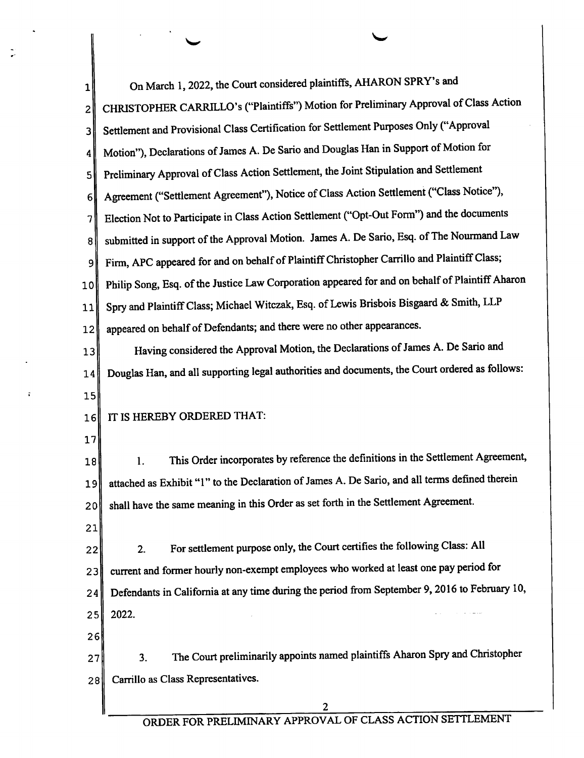| 1              | On March 1, 2022, the Court considered plaintiffs, AHARON SPRY's and                            |
|----------------|-------------------------------------------------------------------------------------------------|
| 2              | CHRISTOPHER CARRILLO's ("Plaintiffs") Motion for Preliminary Approval of Class Action           |
| 3              | Settlement and Provisional Class Certification for Settlement Purposes Only ("Approval          |
| 4              | Motion"), Declarations of James A. De Sario and Douglas Han in Support of Motion for            |
| $\mathsf{5}$   | Preliminary Approval of Class Action Settlement, the Joint Stipulation and Settlement           |
| 6 <sup>1</sup> | Agreement ("Settlement Agreement"), Notice of Class Action Settlement ("Class Notice"),         |
| 7              | Election Not to Participate in Class Action Settlement ("Opt-Out Form") and the documents       |
| 8              | submitted in support of the Approval Motion. James A. De Sario, Esq. of The Nourmand Law        |
| 9              | Firm, APC appeared for and on behalf of Plaintiff Christopher Carrillo and Plaintiff Class;     |
| 10             | Philip Song, Esq. of the Justice Law Corporation appeared for and on behalf of Plaintiff Aharon |
| 11             | Spry and Plaintiff Class; Michael Witczak, Esq. of Lewis Brisbois Bisgaard & Smith, LLP         |
| 12             | appeared on behalf of Defendants; and there were no other appearances.                          |
| 13             | Having considered the Approval Motion, the Declarations of James A. De Sario and                |
| 14             | Douglas Han, and all supporting legal authorities and documents, the Court ordered as follows:  |
| 15             |                                                                                                 |
| 16             | IT IS HEREBY ORDERED THAT:                                                                      |
| 17             |                                                                                                 |
| 18             | This Order incorporates by reference the definitions in the Settlement Agreement,<br>1.         |
| 19             | attached as Exhibit "1" to the Declaration of James A. De Sario, and all terms defined therein  |
| 20             | shall have the same meaning in this Order as set forth in the Settlement Agreement.             |
| 21             |                                                                                                 |
| 22             | For settlement purpose only, the Court certifies the following Class: All<br>2.                 |
| 23             | current and former hourly non-exempt employees who worked at least one pay period for           |
| 24             | Defendants in California at any time during the period from September 9, 2016 to February 10,   |
| 25             | 2022.                                                                                           |
| 26             |                                                                                                 |
| 27             | The Court preliminarily appoints named plaintiffs Aharon Spry and Christopher<br>3.             |
| 28             | Carrillo as Class Representatives.                                                              |
|                | 2                                                                                               |

 $\ddot{ }$ 

 $\ddot{\phantom{a}}$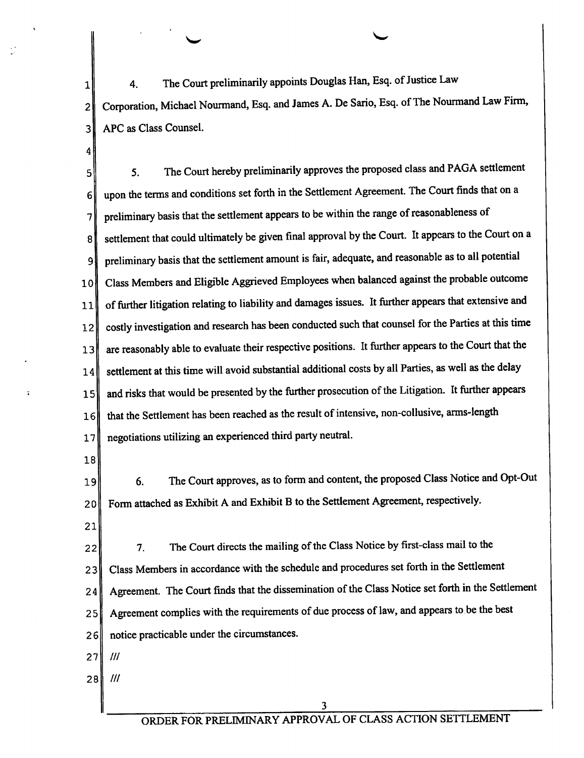4. The Court preliminarily appoints Douglas Han, Esq. of Justice Law  $\mathbf 1$ Corporation, Michael Nourmand, Esq. and James A. De Sario, Esq. of The Nourmand Law Firm,  $\overline{2}$ APC as Class Counsel. 3

 $\checkmark$ 

5. The Court hereby preliminarily approves the proposed class and PAGA settlement 5 upon the terms and conditions set forth in the Settlement Agreement. The Court finds that on a  $6<sup>1</sup>$ preliminary basis that the settlement appears to be within the range of reasonableness of  $7^{1}$ settlement that could ultimately be given final approval by the Court. It appears to the Court on a komflmw 8 preliminary basis that the settlement amount is fair, adequate, and reasonable as to all potential 9 Class Members and Eligible Aggrieved Employees when balanced against the probable outcome 10 of further litigation relating to liability and damages issues. It further appears that extensive and 11 costly investigation and research has been conducted such that counsel for the Parties at this time 12 are reasonably able to evaluate their respective positions. It further appears to the Court that the l3 settlement at this time will avoid substantial additional costs by all Parties, as well as the delay 14 and risks that would be presented by the further prosecution of the Litigation. It further appears 15 that the Settlement has been reached as the result of intensive, non—collusive, arms-length l6 negotiations utilizing an experienced third party neutral. 17

18

 $\boldsymbol{4}$ 

19 20 6. The Court approves, as to form and content, the proposed Class Notice and Opt-Out Form attached as Exhibit A and Exhibit B to the Settlement Agreement, respectively.

21

22 23 24 25 26 7. The Court directs the mailing of the Class Notice by first-class mail to the Class Members in accordance with the schedule and procedures set forth in the Settlement Agreement. The Court finds that the dissemination of the Class Notice set forth in the Settlement Agreement complies with the requirements of due process of law, and appears to be the best notice practicable under the circumstances.

27 ///

28 ///

3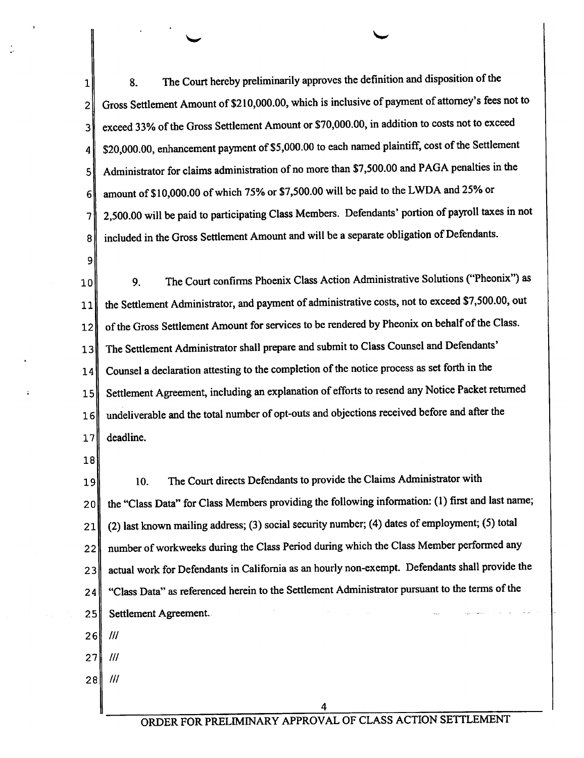8. The Court hereby preliminan'ly approves the definition and disposition of the 1 Gross Settlement Amount of \$210,000.00, which is inclusive of payment of attorney's fees not to  $\overline{2}$ exceed 33% of the Gross Settlement Amount or \$70,000.00, in addition to costs not to exceed 3 \$20,000.00, enhancement payment of \$5,000.00 to each named plaintiff, cost of the Settlement 4 Administrator for claims administration of no more than \$7,500.00 and PAGA penalties in the 5 amount of \$10,000.00 ofwhich 75% or \$7,500.00 will bc paid to the LWDA and 25% or 6 2,500.00 will be paid to participating Class Members. Dcfendants' portion of payroll taxes in not  $7$ included in the Gross Settlement Amount and will be separate obligation of Defendants.  $\mathbf{8}$ 

 $\sim$   $\sim$ 

9

10 11 12 13 14 15 16 l7 9. The Court confirms Phoenix Class Action Administrative Solutions ("Pheonix") as the Settlement Administrator, and payment of administrative costs, not to exceed \$7,500.00, out of the Gross Settlement Amount for services to be rendered by Pheonix on behalf of the Class. The Settlement Administrator shall prepare and submit to Class Counsel and Defendants' Counsel declaration attesting to the completion of the notice process as set forth in the Settlement Agreement, including an explanation of efforts to resend any Notice Packet returned undeliverable and the total number of opt-outs and objections received before and afier the deadline.

18

l9 20 21 22 23 24 25 10. The Court directs Defendants to provide the Claims Administrator with the "Class Data" for Class Members providing the following information: (1) first and last name; (2) last known mailing address; (3) social secun'ty number; (4) dates of employment; (5) total number of workweeks during the Class Period during which the Class Member performed any actual work for Defendants in California as an hourly non—cxempt. Defendants shall provide the "Class Data" as referenced herein to the Settlement Administrator pursuant to the terms of the Settlement Agreement

- 26 ///
- 27 ///
- 28 ///

4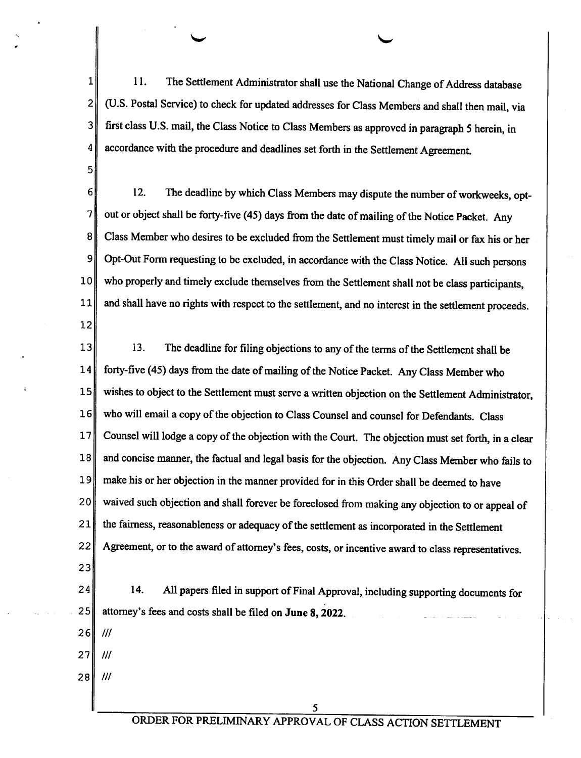1 l. The Settlement Administrator shall use the National Change of Address database (U.S. Postal Service) to check for updated addresses for Class Members and shall then mail, via  $\overline{2}$ 3 first class U.S. mail, the Class Notice to Class Members as approved in paragraph 5 herein, in accordance with the procedure and deadlines set forth in the Settlement Agreement. 4

 $\overline{\phantom{a}}$ 

12. The deadline by which Class Members may dispute the number of workweeks, opt-6 7 out or object shall be forty-five (45) days from the date of mailing of the Notice Packet. Any 8 Class Member who desires to be excluded fiom the Settlement must timely mail or fax his or her 9 Opt-Out Form requesting to bc excluded, in accordance with the Class Notice. All such persons who properly and timely exclude themselves from the Settlement shall not be class participants, 10 and shall have no rights with respect to the settlement, and no interest in the settlement proceeds. ll 12

l3 14 15 16 17 18 19 20 21 22 23 13. The deadline for filing objections to any of the terms of the Settlement shall be forty-five (45) days from the date of mailing of the Notice Packet. Any Class Member who wishes to object to the Settlement must serve a written objection on the Settlement Administrator, who will email a copy of the objection to Class Counsel and counsel for Defendants. Class Counsel will lodge a copy of the objection with the Court. The objection must set forth, in a clear and concise manner, the factual and legal basis for the objection. Any Class Member who fails to make his or her objection in the manner provided for in this Order shall be deemed to have waived such objection and shall forever be foreclosed from making any objection to or appeal of the fairness, reasonableness or adequacy of the settlement as incorporated in the Settlement Agreement, or to the award of attomey's fees, costs, or incentive award to class representatives.

24 25 l4. All papers filed in support of Final Approval, including supporting documents for attorney's fees and costs shall be filed on June 8, 2022.

26 ///

5

27 ///

28 ///

5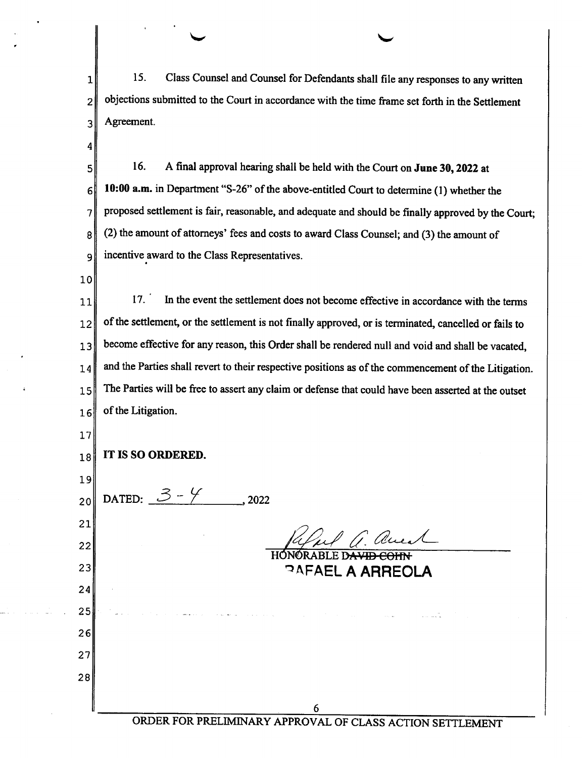15. Class Counsel and Counsel for Defendants shall file any responses to any written  $\mathbf{1}$ objections submitted to the Court in accordance with the time frame set forth in the Settlement  $\overline{2}$ Agreement. 3

16. A final approval hearing shall be held with the Court on June 30, 2022 at 5 10:00 a.m. in Department "8-26" of the above-entitled Court to determine (1) whether the 6 proposed settlement is fair, reasonable, and adequate and should be finally approved by the Court;  $\overline{7}$ (2) the amount of attorneys' fees and costs to award Class Counsel; and (3) the amount of 8 incentive award to the Class Representatives. 9

10

4

11 12 13 l4 15 16 17. In the event the settlement does not become effective in accordance with the terms of the settlement, or the settlement is not finally approved, or is terminated, cancelled or fails to become effective for any reason, this Order shall be rendered null and void and shall be vacated, and the Parties shall revert to their respective positions as of the commencement of the Litigation. The Parties will be free to assert any claim or defense that could have been asserted at the outset of the Litigation.

| 17 <sub>l</sub> |                                   |
|-----------------|-----------------------------------|
| 18              | IT IS SO ORDERED.                 |
| 19              |                                   |
| 20              | DATED: $3 - 4$<br>2022            |
| 21              |                                   |
| 22              | aues<br>NORABLE D <del>AVID</del> |
| 23              | <b>PAFAEL A ARREOLA</b>           |
| 24              |                                   |
| 25              | <b>College</b>                    |
| 26              |                                   |
| 27              |                                   |
| 28              |                                   |
|                 | $\epsilon$                        |

ORDER FOR PRELIMINARY APPROVAL OF CLASS ACTION SETTLEMENT